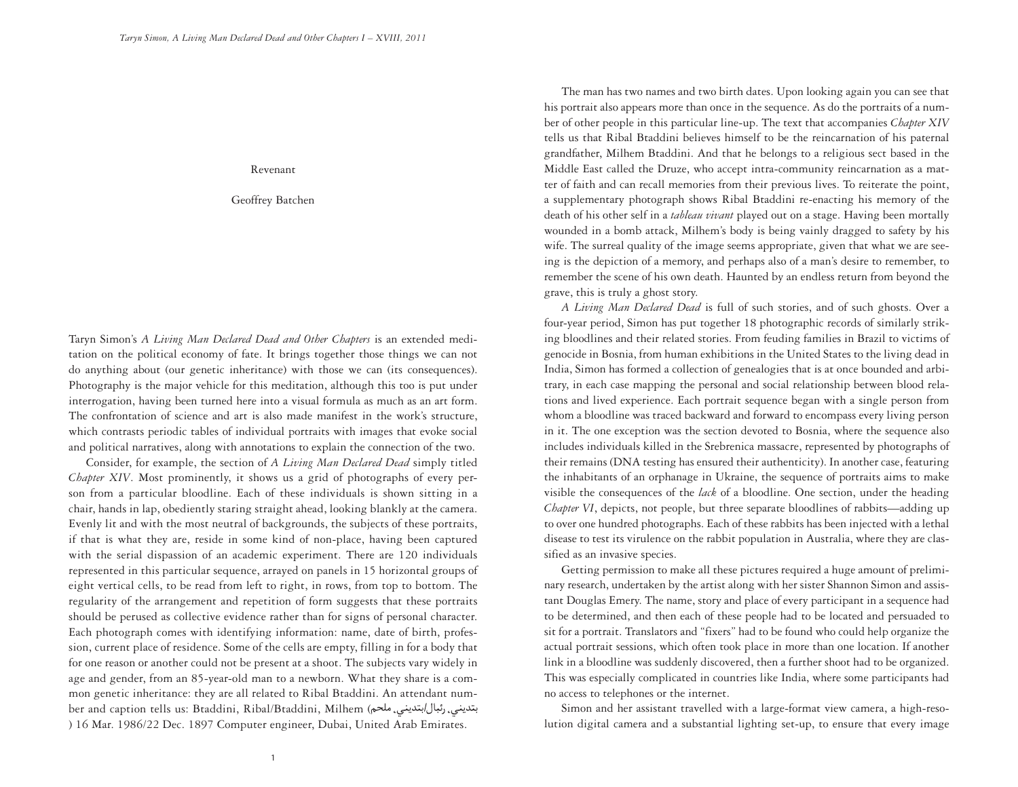## Revenant

## Geoffrey Batchen

Taryn Simon's *A Living Man Declared Dead and Other Chapters* is an extended meditation on the political economy of fate. It brings together those things we can not do anything about (our genetic inheritance) with those we can (its consequences). Photography is the major vehicle for this meditation, although this too is put under interrogation, having been turned here into a visual formula as much as an art form. The confrontation of science and art is also made manifest in the work's structure, which contrasts periodic tables of individual portraits with images that evoke social and political narratives, along with annotations to explain the connection of the two.

Consider, for example, the section of *A Living Man Declared Dead* simply titled *Chapter XIV*. Most prominently, it shows us a grid of photographs of every person from a particular bloodline. Each of these individuals is shown sitting in a chair, hands in lap, obediently staring straight ahead, looking blankly at the camera. Evenly lit and with the most neutral of backgrounds, the subjects of these portraits, if that is what they are, reside in some kind of non-place, having been captured with the serial dispassion of an academic experiment. There are 120 individuals represented in this particular sequence, arrayed on panels in 15 horizontal groups of eight vertical cells, to be read from left to right, in rows, from top to bottom. The regularity of the arrangement and repetition of form suggests that these portraits should be perused as collective evidence rather than for signs of personal character. Each photograph comes with identifying information: name, date of birth, profession, current place of residence. Some of the cells are empty, filling in for a body that for one reason or another could not be present at a shoot. The subjects vary widely in age and gender, from an 85-year-old man to a newborn. What they share is a common genetic inheritance: they are all related to Ribal Btaddini. An attendant number and caption tells us: Btaddini, Ribal/Btaddini, Milhem ( ) 16 Mar. 1986/22 Dec. 1897 Computer engineer, Dubai, United Arab Emirates.

The man has two names and two birth dates. Upon looking again you can see that his portrait also appears more than once in the sequence. As do the portraits of a number of other people in this particular line-up. The text that accompanies *Chapter XIV* tells us that Ribal Btaddini believes himself to be the reincarnation of his paternal grandfather, Milhem Btaddini. And that he belongs to a religious sect based in the Middle East called the Druze, who accept intra-community reincarnation as a matter of faith and can recall memories from their previous lives. To reiterate the point, a supplementary photograph shows Ribal Btaddini re-enacting his memory of the death of his other self in a *tableau vivant* played out on a stage. Having been mortally wounded in a bomb attack, Milhem's body is being vainly dragged to safety by his wife. The surreal quality of the image seems appropriate, given that what we are seeing is the depiction of a memory, and perhaps also of a man's desire to remember, to remember the scene of his own death. Haunted by an endless return from beyond the grave, this is truly a ghost story.

*A Living Man Declared Dead* is full of such stories, and of such ghosts. Over a four-year period, Simon has put together 18 photographic records of similarly striking bloodlines and their related stories. From feuding families in Brazil to victims of genocide in Bosnia, from human exhibitions in the United States to the living dead in India, Simon has formed a collection of genealogies that is at once bounded and arbitrary, in each case mapping the personal and social relationship between blood relations and lived experience. Each portrait sequence began with a single person from whom a bloodline was traced backward and forward to encompass every living person in it. The one exception was the section devoted to Bosnia, where the sequence also includes individuals killed in the Srebrenica massacre, represented by photographs of their remains (DNA testing has ensured their authenticity). In another case, featuring the inhabitants of an orphanage in Ukraine, the sequence of portraits aims to make visible the consequences of the *lack* of a bloodline. One section, under the heading *Chapter VI*, depicts, not people, but three separate bloodlines of rabbits—adding up to over one hundred photographs. Each of these rabbits has been injected with a lethal disease to test its virulence on the rabbit population in Australia, where they are classified as an invasive species.

Getting permission to make all these pictures required a huge amount of preliminary research, undertaken by the artist along with her sister Shannon Simon and assistant Douglas Emery. The name, story and place of every participant in a sequence had to be determined, and then each of these people had to be located and persuaded to sit for a portrait. Translators and "fixers" had to be found who could help organize the actual portrait sessions, which often took place in more than one location. If another link in a bloodline was suddenly discovered, then a further shoot had to be organized. This was especially complicated in countries like India, where some participants had no access to telephones or the internet.

Simon and her assistant travelled with a large-format view camera, a high-resolution digital camera and a substantial lighting set-up, to ensure that every image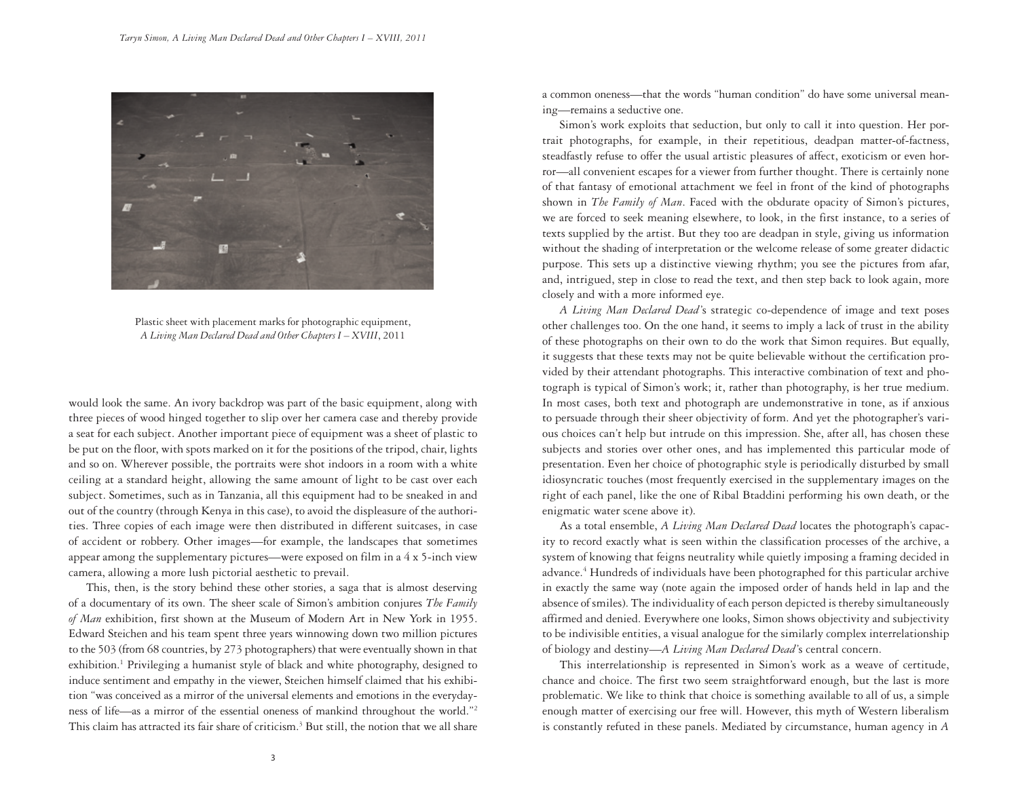

Plastic sheet with placement marks for photographic equipment, *A Living Man Declared Dead and Other Chapters I – XVIII*, 2011

would look the same. An ivory backdrop was part of the basic equipment, along with three pieces of wood hinged together to slip over her camera case and thereby provide a seat for each subject. Another important piece of equipment was a sheet of plastic to be put on the floor, with spots marked on it for the positions of the tripod, chair, lights and so on. Wherever possible, the portraits were shot indoors in a room with a white ceiling at a standard height, allowing the same amount of light to be cast over each subject. Sometimes, such as in Tanzania, all this equipment had to be sneaked in and out of the country (through Kenya in this case), to avoid the displeasure of the authorities. Three copies of each image were then distributed in different suitcases, in case of accident or robbery. Other images—for example, the landscapes that sometimes appear among the supplementary pictures—were exposed on film in a 4 x 5-inch view camera, allowing a more lush pictorial aesthetic to prevail.

This, then, is the story behind these other stories, a saga that is almost deserving of a documentary of its own. The sheer scale of Simon's ambition conjures *The Family of Man* exhibition, first shown at the Museum of Modern Art in New York in 1955. Edward Steichen and his team spent three years winnowing down two million pictures to the 503 (from 68 countries, by 273 photographers) that were eventually shown in that exhibition.<sup>1</sup> Privileging a humanist style of black and white photography, designed to induce sentiment and empathy in the viewer, Steichen himself claimed that his exhibition "was conceived as a mirror of the universal elements and emotions in the everydayness of life—as a mirror of the essential oneness of mankind throughout the world."2 This claim has attracted its fair share of criticism.<sup>3</sup> But still, the notion that we all share a common oneness—that the words "human condition" do have some universal meaning—remains a seductive one.

Simon's work exploits that seduction, but only to call it into question. Her portrait photographs, for example, in their repetitious, deadpan matter-of-factness, steadfastly refuse to offer the usual artistic pleasures of affect, exoticism or even horror—all convenient escapes for a viewer from further thought. There is certainly none of that fantasy of emotional attachment we feel in front of the kind of photographs shown in *The Family of Man*. Faced with the obdurate opacity of Simon's pictures, we are forced to seek meaning elsewhere, to look, in the first instance, to a series of texts supplied by the artist. But they too are deadpan in style, giving us information without the shading of interpretation or the welcome release of some greater didactic purpose. This sets up a distinctive viewing rhythm; you see the pictures from afar, and, intrigued, step in close to read the text, and then step back to look again, more closely and with a more informed eye.

*A Living Man Declared Dead*'s strategic co-dependence of image and text poses other challenges too. On the one hand, it seems to imply a lack of trust in the ability of these photographs on their own to do the work that Simon requires. But equally, it suggests that these texts may not be quite believable without the certification provided by their attendant photographs. This interactive combination of text and photograph is typical of Simon's work; it, rather than photography, is her true medium. In most cases, both text and photograph are undemonstrative in tone, as if anxious to persuade through their sheer objectivity of form. And yet the photographer's various choices can't help but intrude on this impression. She, after all, has chosen these subjects and stories over other ones, and has implemented this particular mode of presentation. Even her choice of photographic style is periodically disturbed by small idiosyncratic touches (most frequently exercised in the supplementary images on the right of each panel, like the one of Ribal Btaddini performing his own death, or the enigmatic water scene above it).

As a total ensemble, *A Living Man Declared Dead* locates the photograph's capacity to record exactly what is seen within the classification processes of the archive, a system of knowing that feigns neutrality while quietly imposing a framing decided in advance.<sup>4</sup> Hundreds of individuals have been photographed for this particular archive in exactly the same way (note again the imposed order of hands held in lap and the absence of smiles). The individuality of each person depicted is thereby simultaneously affirmed and denied. Everywhere one looks, Simon shows objectivity and subjectivity to be indivisible entities, a visual analogue for the similarly complex interrelationship of biology and destiny—*A Living Man Declared Dead*'s central concern.

This interrelationship is represented in Simon's work as a weave of certitude, chance and choice. The first two seem straightforward enough, but the last is more problematic. We like to think that choice is something available to all of us, a simple enough matter of exercising our free will. However, this myth of Western liberalism is constantly refuted in these panels. Mediated by circumstance, human agency in *A*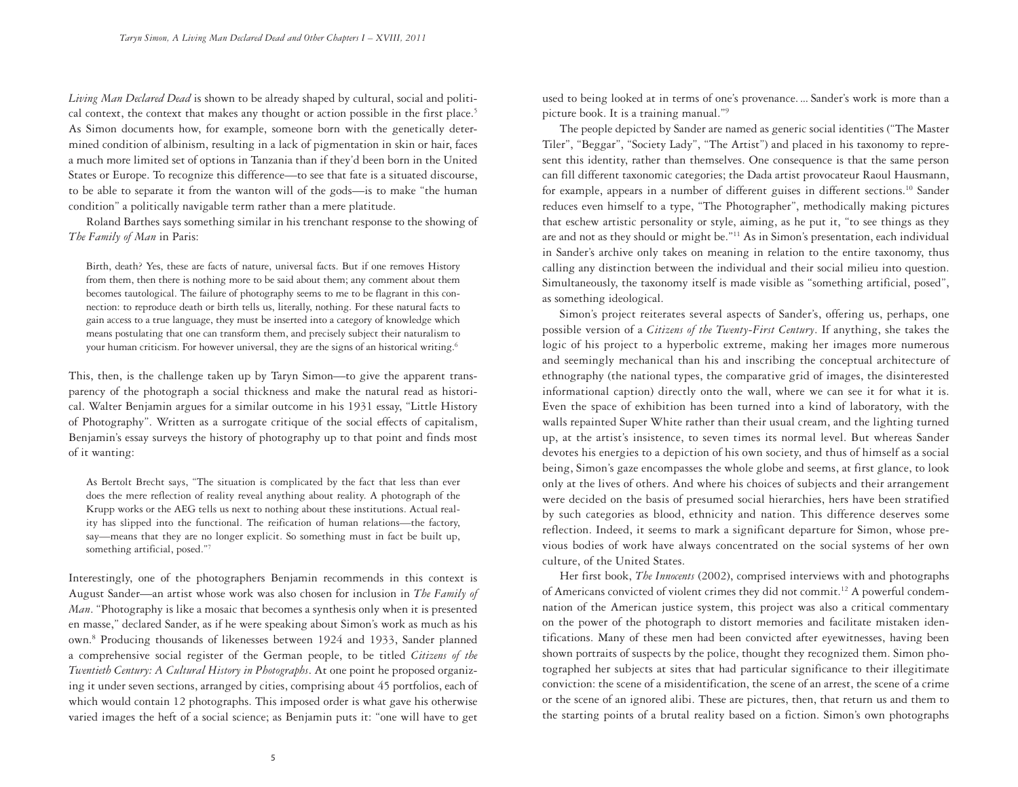*Living Man Declared Dead* is shown to be already shaped by cultural, social and political context, the context that makes any thought or action possible in the first place.<sup>5</sup> As Simon documents how, for example, someone born with the genetically determined condition of albinism, resulting in a lack of pigmentation in skin or hair, faces a much more limited set of options in Tanzania than if they'd been born in the United States or Europe. To recognize this difference—to see that fate is a situated discourse, to be able to separate it from the wanton will of the gods—is to make "the human condition" a politically navigable term rather than a mere platitude.

Roland Barthes says something similar in his trenchant response to the showing of *The Family of Man* in Paris:

Birth, death? Yes, these are facts of nature, universal facts. But if one removes History from them, then there is nothing more to be said about them; any comment about them becomes tautological. The failure of photography seems to me to be flagrant in this connection: to reproduce death or birth tells us, literally, nothing. For these natural facts to gain access to a true language, they must be inserted into a category of knowledge which means postulating that one can transform them, and precisely subject their naturalism to your human criticism. For however universal, they are the signs of an historical writing.<sup>6</sup>

This, then, is the challenge taken up by Taryn Simon—to give the apparent transparency of the photograph a social thickness and make the natural read as historical. Walter Benjamin argues for a similar outcome in his 1931 essay, "Little History of Photography". Written as a surrogate critique of the social effects of capitalism, Benjamin's essay surveys the history of photography up to that point and finds most of it wanting:

As Bertolt Brecht says, "The situation is complicated by the fact that less than ever does the mere reflection of reality reveal anything about reality. A photograph of the Krupp works or the AEG tells us next to nothing about these institutions. Actual reality has slipped into the functional. The reification of human relations—the factory, say—means that they are no longer explicit. So something must in fact be built up, something artificial, posed."7

Interestingly, one of the photographers Benjamin recommends in this context is August Sander—an artist whose work was also chosen for inclusion in *The Family of Man*. "Photography is like a mosaic that becomes a synthesis only when it is presented en masse," declared Sander, as if he were speaking about Simon's work as much as his own.8 Producing thousands of likenesses between 1924 and 1933, Sander planned a comprehensive social register of the German people, to be titled *Citizens of the Twentieth Century: A Cultural History in Photographs*. At one point he proposed organizing it under seven sections, arranged by cities, comprising about 45 portfolios, each of which would contain 12 photographs. This imposed order is what gave his otherwise varied images the heft of a social science; as Benjamin puts it: "one will have to get

used to being looked at in terms of one's provenance.... Sander's work is more than a picture book. It is a training manual."9

The people depicted by Sander are named as generic social identities ("The Master Tiler", "Beggar", "Society Lady", "The Artist") and placed in his taxonomy to represent this identity, rather than themselves. One consequence is that the same person can fill different taxonomic categories; the Dada artist provocateur Raoul Hausmann, for example, appears in a number of different guises in different sections.<sup>10</sup> Sander reduces even himself to a type, "The Photographer", methodically making pictures that eschew artistic personality or style, aiming, as he put it, "to see things as they are and not as they should or might be."11 As in Simon's presentation, each individual in Sander's archive only takes on meaning in relation to the entire taxonomy, thus calling any distinction between the individual and their social milieu into question. Simultaneously, the taxonomy itself is made visible as "something artificial, posed", as something ideological.

Simon's project reiterates several aspects of Sander's, offering us, perhaps, one possible version of a *Citizens of the Twenty-First Century*. If anything, she takes the logic of his project to a hyperbolic extreme, making her images more numerous and seemingly mechanical than his and inscribing the conceptual architecture of ethnography (the national types, the comparative grid of images, the disinterested informational caption) directly onto the wall, where we can see it for what it is. Even the space of exhibition has been turned into a kind of laboratory, with the walls repainted Super White rather than their usual cream, and the lighting turned up, at the artist's insistence, to seven times its normal level. But whereas Sander devotes his energies to a depiction of his own society, and thus of himself as a social being, Simon's gaze encompasses the whole globe and seems, at first glance, to look only at the lives of others. And where his choices of subjects and their arrangement were decided on the basis of presumed social hierarchies, hers have been stratified by such categories as blood, ethnicity and nation. This difference deserves some reflection. Indeed, it seems to mark a significant departure for Simon, whose previous bodies of work have always concentrated on the social systems of her own culture, of the United States.

Her first book, *The Innocents* (2002), comprised interviews with and photographs of Americans convicted of violent crimes they did not commit.12 A powerful condemnation of the American justice system, this project was also a critical commentary on the power of the photograph to distort memories and facilitate mistaken identifications. Many of these men had been convicted after eyewitnesses, having been shown portraits of suspects by the police, thought they recognized them. Simon photographed her subjects at sites that had particular significance to their illegitimate conviction: the scene of a misidentification, the scene of an arrest, the scene of a crime or the scene of an ignored alibi. These are pictures, then, that return us and them to the starting points of a brutal reality based on a fiction. Simon's own photographs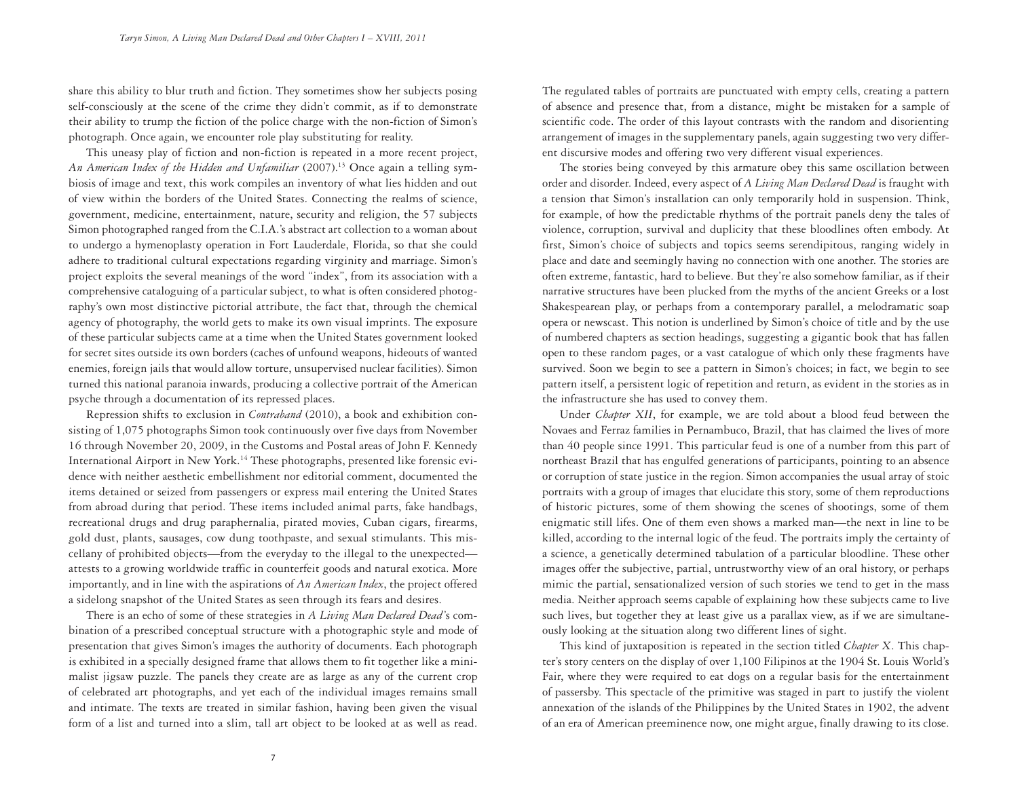share this ability to blur truth and fiction. They sometimes show her subjects posing self-consciously at the scene of the crime they didn't commit, as if to demonstrate their ability to trump the fiction of the police charge with the non-fiction of Simon's photograph. Once again, we encounter role play substituting for reality.

This uneasy play of fiction and non-fiction is repeated in a more recent project, An American Index of the Hidden and Unfamiliar (2007).<sup>13</sup> Once again a telling symbiosis of image and text, this work compiles an inventory of what lies hidden and out of view within the borders of the United States. Connecting the realms of science, government, medicine, entertainment, nature, security and religion, the 57 subjects Simon photographed ranged from the C.I.A.'s abstract art collection to a woman about to undergo a hymenoplasty operation in Fort Lauderdale, Florida, so that she could adhere to traditional cultural expectations regarding virginity and marriage. Simon's project exploits the several meanings of the word "index", from its association with a comprehensive cataloguing of a particular subject, to what is often considered photography's own most distinctive pictorial attribute, the fact that, through the chemical agency of photography, the world gets to make its own visual imprints. The exposure of these particular subjects came at a time when the United States government looked for secret sites outside its own borders (caches of unfound weapons, hideouts of wanted enemies, foreign jails that would allow torture, unsupervised nuclear facilities). Simon turned this national paranoia inwards, producing a collective portrait of the American psyche through a documentation of its repressed places.

Repression shifts to exclusion in *Contraband* (2010), a book and exhibition consisting of 1,075 photographs Simon took continuously over five days from November 16 through November 20, 2009, in the Customs and Postal areas of John F. Kennedy International Airport in New York.14 These photographs, presented like forensic evidence with neither aesthetic embellishment nor editorial comment, documented the items detained or seized from passengers or express mail entering the United States from abroad during that period. These items included animal parts, fake handbags, recreational drugs and drug paraphernalia, pirated movies, Cuban cigars, firearms, gold dust, plants, sausages, cow dung toothpaste, and sexual stimulants. This miscellany of prohibited objects—from the everyday to the illegal to the unexpected attests to a growing worldwide traffic in counterfeit goods and natural exotica. More importantly, and in line with the aspirations of *An American Index*, the project offered a sidelong snapshot of the United States as seen through its fears and desires.

There is an echo of some of these strategies in *A Living Man Declared Dead*'s combination of a prescribed conceptual structure with a photographic style and mode of presentation that gives Simon's images the authority of documents. Each photograph is exhibited in a specially designed frame that allows them to fit together like a minimalist jigsaw puzzle. The panels they create are as large as any of the current crop of celebrated art photographs, and yet each of the individual images remains small and intimate. The texts are treated in similar fashion, having been given the visual form of a list and turned into a slim, tall art object to be looked at as well as read. The regulated tables of portraits are punctuated with empty cells, creating a pattern of absence and presence that, from a distance, might be mistaken for a sample of scientific code. The order of this layout contrasts with the random and disorienting arrangement of images in the supplementary panels, again suggesting two very different discursive modes and offering two very different visual experiences.

The stories being conveyed by this armature obey this same oscillation between order and disorder. Indeed, every aspect of *A Living Man Declared Dead* is fraught with a tension that Simon's installation can only temporarily hold in suspension. Think, for example, of how the predictable rhythms of the portrait panels deny the tales of violence, corruption, survival and duplicity that these bloodlines often embody. At first, Simon's choice of subjects and topics seems serendipitous, ranging widely in place and date and seemingly having no connection with one another. The stories are often extreme, fantastic, hard to believe. But they're also somehow familiar, as if their narrative structures have been plucked from the myths of the ancient Greeks or a lost Shakespearean play, or perhaps from a contemporary parallel, a melodramatic soap opera or newscast. This notion is underlined by Simon's choice of title and by the use of numbered chapters as section headings, suggesting a gigantic book that has fallen open to these random pages, or a vast catalogue of which only these fragments have survived. Soon we begin to see a pattern in Simon's choices; in fact, we begin to see pattern itself, a persistent logic of repetition and return, as evident in the stories as in the infrastructure she has used to convey them.

Under *Chapter XII*, for example, we are told about a blood feud between the Novaes and Ferraz families in Pernambuco, Brazil, that has claimed the lives of more than 40 people since 1991. This particular feud is one of a number from this part of northeast Brazil that has engulfed generations of participants, pointing to an absence or corruption of state justice in the region. Simon accompanies the usual array of stoic portraits with a group of images that elucidate this story, some of them reproductions of historic pictures, some of them showing the scenes of shootings, some of them enigmatic still lifes. One of them even shows a marked man—the next in line to be killed, according to the internal logic of the feud. The portraits imply the certainty of a science, a genetically determined tabulation of a particular bloodline. These other images offer the subjective, partial, untrustworthy view of an oral history, or perhaps mimic the partial, sensationalized version of such stories we tend to get in the mass media. Neither approach seems capable of explaining how these subjects came to live such lives, but together they at least give us a parallax view, as if we are simultaneously looking at the situation along two different lines of sight.

This kind of juxtaposition is repeated in the section titled *Chapter X*. This chapter's story centers on the display of over 1,100 Filipinos at the 1904 St. Louis World's Fair, where they were required to eat dogs on a regular basis for the entertainment of passersby. This spectacle of the primitive was staged in part to justify the violent annexation of the islands of the Philippines by the United States in 1902, the advent of an era of American preeminence now, one might argue, finally drawing to its close.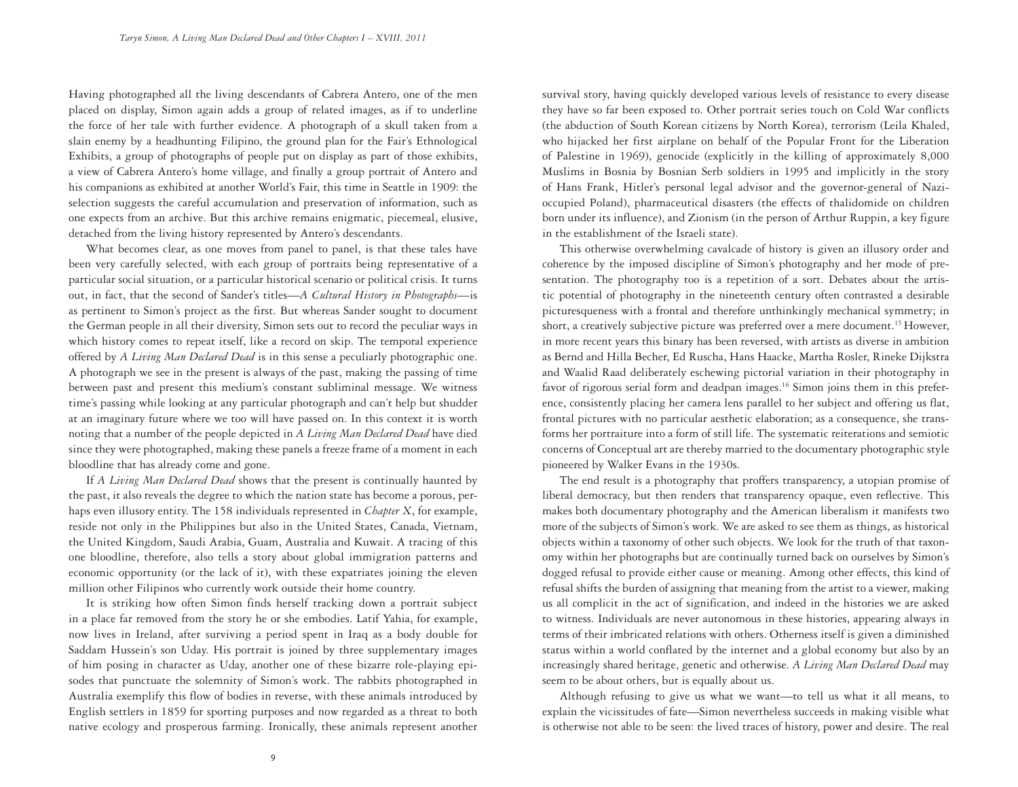Having photographed all the living descendants of Cabrera Antero, one of the men placed on display, Simon again adds a group of related images, as if to underline the force of her tale with further evidence. A photograph of a skull taken from a slain enemy by a headhunting Filipino, the ground plan for the Fair's Ethnological Exhibits, a group of photographs of people put on display as part of those exhibits, a view of Cabrera Antero's home village, and finally a group portrait of Antero and his companions as exhibited at another World's Fair, this time in Seattle in 1909: the selection suggests the careful accumulation and preservation of information, such as one expects from an archive. But this archive remains enigmatic, piecemeal, elusive, detached from the living history represented by Antero's descendants.

What becomes clear, as one moves from panel to panel, is that these tales have been very carefully selected, with each group of portraits being representative of a particular social situation, or a particular historical scenario or political crisis. It turns out, in fact, that the second of Sander's titles—*A Cultural History in Photographs*—is as pertinent to Simon's project as the first. But whereas Sander sought to document the German people in all their diversity, Simon sets out to record the peculiar ways in which history comes to repeat itself, like a record on skip. The temporal experience offered by *A Living Man Declared Dead* is in this sense a peculiarly photographic one. A photograph we see in the present is always of the past, making the passing of time between past and present this medium's constant subliminal message. We witness time's passing while looking at any particular photograph and can't help but shudder at an imaginary future where we too will have passed on. In this context it is worth noting that a number of the people depicted in *A Living Man Declared Dead* have died since they were photographed, making these panels a freeze frame of a moment in each bloodline that has already come and gone.

If *A Living Man Declared Dead* shows that the present is continually haunted by the past, it also reveals the degree to which the nation state has become a porous, perhaps even illusory entity. The 158 individuals represented in *Chapter X*, for example, reside not only in the Philippines but also in the United States, Canada, Vietnam, the United Kingdom, Saudi Arabia, Guam, Australia and Kuwait. A tracing of this one bloodline, therefore, also tells a story about global immigration patterns and economic opportunity (or the lack of it), with these expatriates joining the eleven million other Filipinos who currently work outside their home country.

It is striking how often Simon finds herself tracking down a portrait subject in a place far removed from the story he or she embodies. Latif Yahia, for example, now lives in Ireland, after surviving a period spent in Iraq as a body double for Saddam Hussein's son Uday. His portrait is joined by three supplementary images of him posing in character as Uday, another one of these bizarre role-playing episodes that punctuate the solemnity of Simon's work. The rabbits photographed in Australia exemplify this flow of bodies in reverse, with these animals introduced by English settlers in 1859 for sporting purposes and now regarded as a threat to both native ecology and prosperous farming. Ironically, these animals represent another survival story, having quickly developed various levels of resistance to every disease they have so far been exposed to. Other portrait series touch on Cold War conflicts (the abduction of South Korean citizens by North Korea), terrorism (Leila Khaled, who hijacked her first airplane on behalf of the Popular Front for the Liberation of Palestine in 1969), genocide (explicitly in the killing of approximately 8,000 Muslims in Bosnia by Bosnian Serb soldiers in 1995 and implicitly in the story of Hans Frank, Hitler's personal legal advisor and the governor-general of Nazioccupied Poland), pharmaceutical disasters (the effects of thalidomide on children born under its influence), and Zionism (in the person of Arthur Ruppin, a key figure in the establishment of the Israeli state).

This otherwise overwhelming cavalcade of history is given an illusory order and coherence by the imposed discipline of Simon's photography and her mode of presentation. The photography too is a repetition of a sort. Debates about the artistic potential of photography in the nineteenth century often contrasted a desirable picturesqueness with a frontal and therefore unthinkingly mechanical symmetry; in short, a creatively subjective picture was preferred over a mere document.<sup>15</sup> However, in more recent years this binary has been reversed, with artists as diverse in ambition as Bernd and Hilla Becher, Ed Ruscha, Hans Haacke, Martha Rosler, Rineke Dijkstra and Waalid Raad deliberately eschewing pictorial variation in their photography in favor of rigorous serial form and deadpan images.16 Simon joins them in this preference, consistently placing her camera lens parallel to her subject and offering us flat, frontal pictures with no particular aesthetic elaboration; as a consequence, she transforms her portraiture into a form of still life. The systematic reiterations and semiotic concerns of Conceptual art are thereby married to the documentary photographic style pioneered by Walker Evans in the 1930s.

The end result is a photography that proffers transparency, a utopian promise of liberal democracy, but then renders that transparency opaque, even reflective. This makes both documentary photography and the American liberalism it manifests two more of the subjects of Simon's work. We are asked to see them as things, as historical objects within a taxonomy of other such objects. We look for the truth of that taxonomy within her photographs but are continually turned back on ourselves by Simon's dogged refusal to provide either cause or meaning. Among other effects, this kind of refusal shifts the burden of assigning that meaning from the artist to a viewer, making us all complicit in the act of signification, and indeed in the histories we are asked to witness. Individuals are never autonomous in these histories, appearing always in terms of their imbricated relations with others. Otherness itself is given a diminished status within a world conflated by the internet and a global economy but also by an increasingly shared heritage, genetic and otherwise. *A Living Man Declared Dead* may seem to be about others, but is equally about us.

Although refusing to give us what we want—to tell us what it all means, to explain the vicissitudes of fate—Simon nevertheless succeeds in making visible what is otherwise not able to be seen: the lived traces of history, power and desire. The real